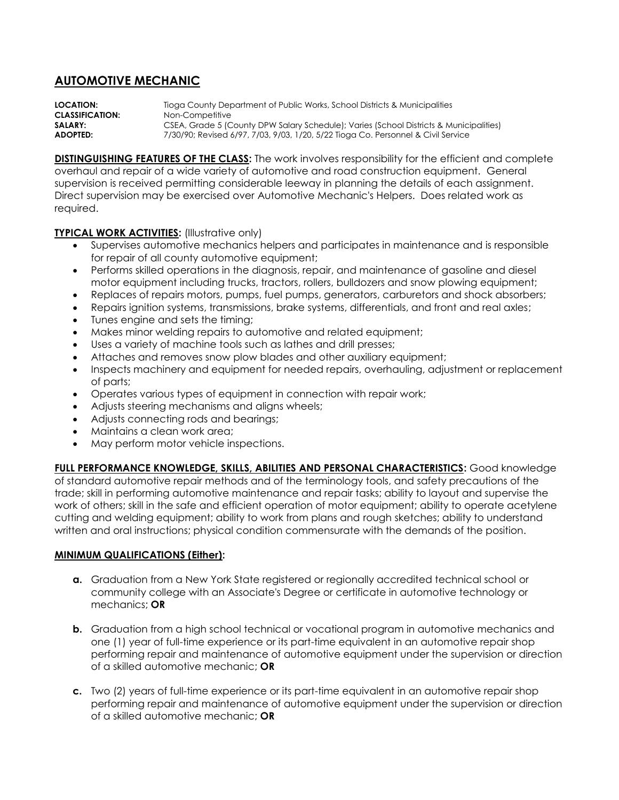## **AUTOMOTIVE MECHANIC**

**LOCATION:** Tioga County Department of Public Works, School Districts & Municipalities **CLASSIFICATION:** Non-Competitive **SALARY:** CSEA, Grade 5 (County DPW Salary Schedule); Varies (School Districts & Municipalities) **ADOPTED:** 7/30/90; Revised 6/97, 7/03, 9/03, 1/20, 5/22 Tioga Co. Personnel & Civil Service

**DISTINGUISHING FEATURES OF THE CLASS:** The work involves responsibility for the efficient and complete overhaul and repair of a wide variety of automotive and road construction equipment. General supervision is received permitting considerable leeway in planning the details of each assignment. Direct supervision may be exercised over Automotive Mechanic's Helpers. Does related work as required.

## **TYPICAL WORK ACTIVITIES: (Illustrative only)**

- Supervises automotive mechanics helpers and participates in maintenance and is responsible for repair of all county automotive equipment;
- Performs skilled operations in the diagnosis, repair, and maintenance of gasoline and diesel motor equipment including trucks, tractors, rollers, bulldozers and snow plowing equipment;
- Replaces of repairs motors, pumps, fuel pumps, generators, carburetors and shock absorbers;
- Repairs ignition systems, transmissions, brake systems, differentials, and front and real axles;
- Tunes engine and sets the timing;
- Makes minor welding repairs to automotive and related equipment;
- Uses a variety of machine tools such as lathes and drill presses;
- Attaches and removes snow plow blades and other auxiliary equipment;
- Inspects machinery and equipment for needed repairs, overhauling, adjustment or replacement of parts;
- Operates various types of equipment in connection with repair work;
- Adjusts steering mechanisms and aligns wheels;
- Adjusts connecting rods and bearings;
- Maintains a clean work area;
- May perform motor vehicle inspections.

**FULL PERFORMANCE KNOWLEDGE, SKILLS, ABILITIES AND PERSONAL CHARACTERISTICS:** Good knowledge of standard automotive repair methods and of the terminology tools, and safety precautions of the trade; skill in performing automotive maintenance and repair tasks; ability to layout and supervise the work of others; skill in the safe and efficient operation of motor equipment; ability to operate acetylene cutting and welding equipment; ability to work from plans and rough sketches; ability to understand written and oral instructions; physical condition commensurate with the demands of the position.

## **MINIMUM QUALIFICATIONS (Either):**

- **a.** Graduation from a New York State registered or regionally accredited technical school or community college with an Associate's Degree or certificate in automotive technology or mechanics; **OR**
- **b.** Graduation from a high school technical or vocational program in automotive mechanics and one (1) year of full-time experience or its part-time equivalent in an automotive repair shop performing repair and maintenance of automotive equipment under the supervision or direction of a skilled automotive mechanic; **OR**
- **c.** Two (2) years of full-time experience or its part-time equivalent in an automotive repair shop performing repair and maintenance of automotive equipment under the supervision or direction of a skilled automotive mechanic; **OR**